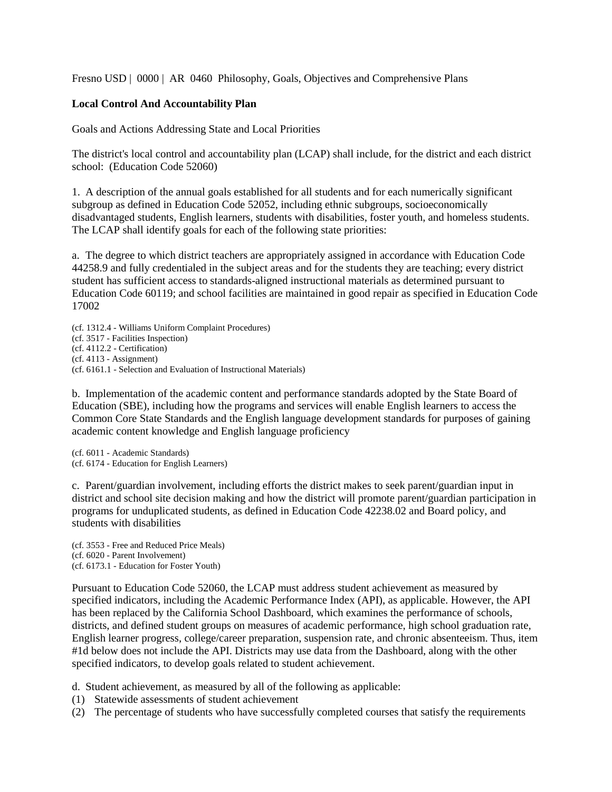Fresno USD | 0000 | AR 0460 Philosophy, Goals, Objectives and Comprehensive Plans

## **Local Control And Accountability Plan**

Goals and Actions Addressing State and Local Priorities

The district's local control and accountability plan (LCAP) shall include, for the district and each district school: (Education Code 52060)

1. A description of the annual goals established for all students and for each numerically significant subgroup as defined in Education Code 52052, including ethnic subgroups, socioeconomically disadvantaged students, English learners, students with disabilities, foster youth, and homeless students. The LCAP shall identify goals for each of the following state priorities:

a. The degree to which district teachers are appropriately assigned in accordance with Education Code 44258.9 and fully credentialed in the subject areas and for the students they are teaching; every district student has sufficient access to standards-aligned instructional materials as determined pursuant to Education Code 60119; and school facilities are maintained in good repair as specified in Education Code 17002

(cf. 1312.4 - Williams Uniform Complaint Procedures) (cf. 3517 - Facilities Inspection) (cf. 4112.2 - Certification) (cf. 4113 - Assignment) (cf. 6161.1 - Selection and Evaluation of Instructional Materials)

b. Implementation of the academic content and performance standards adopted by the State Board of Education (SBE), including how the programs and services will enable English learners to access the Common Core State Standards and the English language development standards for purposes of gaining academic content knowledge and English language proficiency

(cf. 6011 - Academic Standards) (cf. 6174 - Education for English Learners)

c. Parent/guardian involvement, including efforts the district makes to seek parent/guardian input in district and school site decision making and how the district will promote parent/guardian participation in programs for unduplicated students, as defined in Education Code 42238.02 and Board policy, and students with disabilities

(cf. 3553 - Free and Reduced Price Meals) (cf. 6020 - Parent Involvement) (cf. 6173.1 - Education for Foster Youth)

Pursuant to Education Code 52060, the LCAP must address student achievement as measured by specified indicators, including the Academic Performance Index (API), as applicable. However, the API has been replaced by the California School Dashboard, which examines the performance of schools, districts, and defined student groups on measures of academic performance, high school graduation rate, English learner progress, college/career preparation, suspension rate, and chronic absenteeism. Thus, item #1d below does not include the API. Districts may use data from the Dashboard, along with the other specified indicators, to develop goals related to student achievement.

d. Student achievement, as measured by all of the following as applicable:

- (1) Statewide assessments of student achievement
- (2) The percentage of students who have successfully completed courses that satisfy the requirements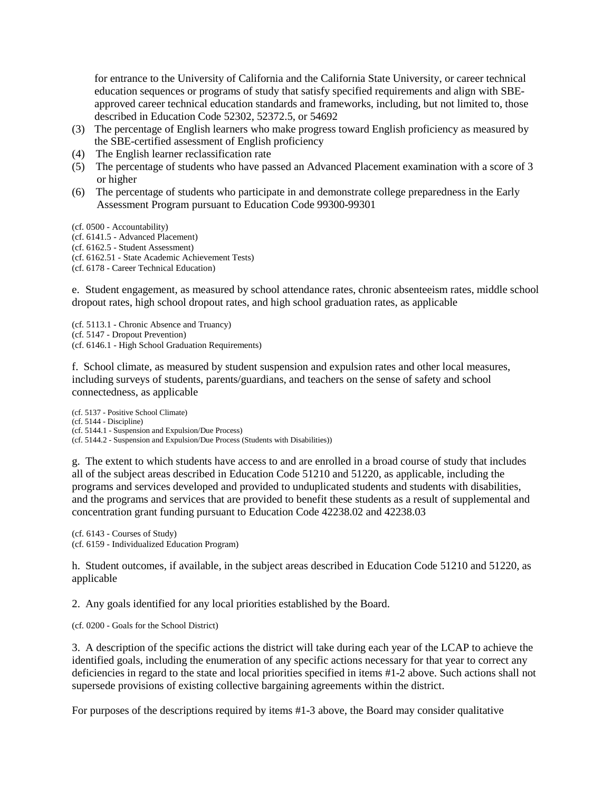for entrance to the University of California and the California State University, or career technical education sequences or programs of study that satisfy specified requirements and align with SBEapproved career technical education standards and frameworks, including, but not limited to, those described in Education Code 52302, 52372.5, or 54692

- (3) The percentage of English learners who make progress toward English proficiency as measured by the SBE-certified assessment of English proficiency
- (4) The English learner reclassification rate
- (5) The percentage of students who have passed an Advanced Placement examination with a score of 3 or higher
- (6) The percentage of students who participate in and demonstrate college preparedness in the Early Assessment Program pursuant to Education Code 99300-99301

(cf. 0500 - Accountability)

- (cf. 6141.5 Advanced Placement)
- (cf. 6162.5 Student Assessment)
- (cf. 6162.51 State Academic Achievement Tests)
- (cf. 6178 Career Technical Education)

e. Student engagement, as measured by school attendance rates, chronic absenteeism rates, middle school dropout rates, high school dropout rates, and high school graduation rates, as applicable

(cf. 5113.1 - Chronic Absence and Truancy) (cf. 5147 - Dropout Prevention) (cf. 6146.1 - High School Graduation Requirements)

f. School climate, as measured by student suspension and expulsion rates and other local measures, including surveys of students, parents/guardians, and teachers on the sense of safety and school connectedness, as applicable

(cf. 5137 - Positive School Climate) (cf. 5144 - Discipline) (cf. 5144.1 - Suspension and Expulsion/Due Process) (cf. 5144.2 - Suspension and Expulsion/Due Process (Students with Disabilities))

g. The extent to which students have access to and are enrolled in a broad course of study that includes all of the subject areas described in Education Code 51210 and 51220, as applicable, including the programs and services developed and provided to unduplicated students and students with disabilities, and the programs and services that are provided to benefit these students as a result of supplemental and concentration grant funding pursuant to Education Code 42238.02 and 42238.03

(cf. 6143 - Courses of Study) (cf. 6159 - Individualized Education Program)

h. Student outcomes, if available, in the subject areas described in Education Code 51210 and 51220, as applicable

2. Any goals identified for any local priorities established by the Board.

(cf. 0200 - Goals for the School District)

3. A description of the specific actions the district will take during each year of the LCAP to achieve the identified goals, including the enumeration of any specific actions necessary for that year to correct any deficiencies in regard to the state and local priorities specified in items #1-2 above. Such actions shall not supersede provisions of existing collective bargaining agreements within the district.

For purposes of the descriptions required by items #1-3 above, the Board may consider qualitative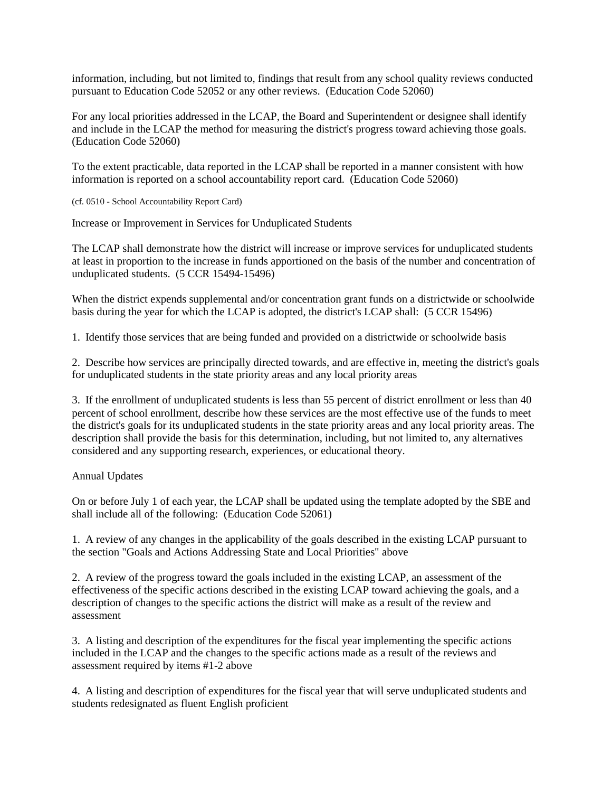information, including, but not limited to, findings that result from any school quality reviews conducted pursuant to Education Code 52052 or any other reviews. (Education Code 52060)

For any local priorities addressed in the LCAP, the Board and Superintendent or designee shall identify and include in the LCAP the method for measuring the district's progress toward achieving those goals. (Education Code 52060)

To the extent practicable, data reported in the LCAP shall be reported in a manner consistent with how information is reported on a school accountability report card. (Education Code 52060)

(cf. 0510 - School Accountability Report Card)

Increase or Improvement in Services for Unduplicated Students

The LCAP shall demonstrate how the district will increase or improve services for unduplicated students at least in proportion to the increase in funds apportioned on the basis of the number and concentration of unduplicated students. (5 CCR 15494-15496)

When the district expends supplemental and/or concentration grant funds on a districtwide or schoolwide basis during the year for which the LCAP is adopted, the district's LCAP shall: (5 CCR 15496)

1. Identify those services that are being funded and provided on a districtwide or schoolwide basis

2. Describe how services are principally directed towards, and are effective in, meeting the district's goals for unduplicated students in the state priority areas and any local priority areas

3. If the enrollment of unduplicated students is less than 55 percent of district enrollment or less than 40 percent of school enrollment, describe how these services are the most effective use of the funds to meet the district's goals for its unduplicated students in the state priority areas and any local priority areas. The description shall provide the basis for this determination, including, but not limited to, any alternatives considered and any supporting research, experiences, or educational theory.

## Annual Updates

On or before July 1 of each year, the LCAP shall be updated using the template adopted by the SBE and shall include all of the following: (Education Code 52061)

1. A review of any changes in the applicability of the goals described in the existing LCAP pursuant to the section "Goals and Actions Addressing State and Local Priorities" above

2. A review of the progress toward the goals included in the existing LCAP, an assessment of the effectiveness of the specific actions described in the existing LCAP toward achieving the goals, and a description of changes to the specific actions the district will make as a result of the review and assessment

3. A listing and description of the expenditures for the fiscal year implementing the specific actions included in the LCAP and the changes to the specific actions made as a result of the reviews and assessment required by items #1-2 above

4. A listing and description of expenditures for the fiscal year that will serve unduplicated students and students redesignated as fluent English proficient